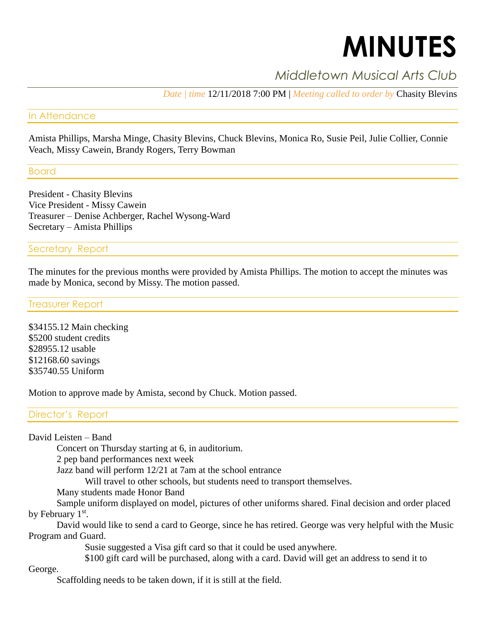# **MINUTES**

# *Middletown Musical Arts Club*

*Date | time* 12/11/2018 7:00 PM | *Meeting called to order by* Chasity Blevins

#### In Attendance

Amista Phillips, Marsha Minge, Chasity Blevins, Chuck Blevins, Monica Ro, Susie Peil, Julie Collier, Connie Veach, Missy Cawein, Brandy Rogers, Terry Bowman

Board

President - Chasity Blevins Vice President - Missy Cawein Treasurer – Denise Achberger, Rachel Wysong-Ward Secretary – Amista Phillips

## Secretary Report

The minutes for the previous months were provided by Amista Phillips. The motion to accept the minutes was made by Monica, second by Missy. The motion passed.

#### Treasurer Report

\$34155.12 Main checking \$5200 student credits \$28955.12 usable \$12168.60 savings \$35740.55 Uniform

Motion to approve made by Amista, second by Chuck. Motion passed.

## Director's Report

David Leisten – Band

Concert on Thursday starting at 6, in auditorium.

2 pep band performances next week

Jazz band will perform 12/21 at 7am at the school entrance

Will travel to other schools, but students need to transport themselves.

Many students made Honor Band

Sample uniform displayed on model, pictures of other uniforms shared. Final decision and order placed by February  $1<sup>st</sup>$ .

David would like to send a card to George, since he has retired. George was very helpful with the Music Program and Guard.

Susie suggested a Visa gift card so that it could be used anywhere.

\$100 gift card will be purchased, along with a card. David will get an address to send it to

George.

Scaffolding needs to be taken down, if it is still at the field.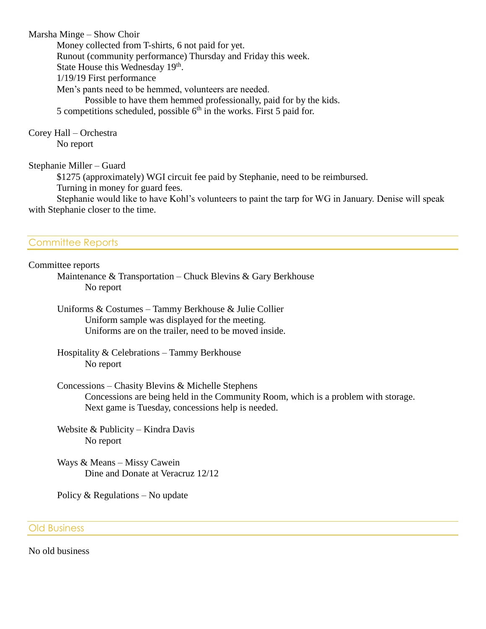Marsha Minge – Show Choir

Money collected from T-shirts, 6 not paid for yet.

Runout (community performance) Thursday and Friday this week.

State House this Wednesday 19<sup>th</sup>.

1/19/19 First performance

Men's pants need to be hemmed, volunteers are needed.

Possible to have them hemmed professionally, paid for by the kids.

5 competitions scheduled, possible  $6<sup>th</sup>$  in the works. First 5 paid for.

Corey Hall – Orchestra No report

Stephanie Miller – Guard

\$1275 (approximately) WGI circuit fee paid by Stephanie, need to be reimbursed.

Turning in money for guard fees.

Stephanie would like to have Kohl's volunteers to paint the tarp for WG in January. Denise will speak with Stephanie closer to the time.

# Committee Reports

Committee reports

Maintenance & Transportation – Chuck Blevins & Gary Berkhouse No report

Uniforms & Costumes – Tammy Berkhouse & Julie Collier Uniform sample was displayed for the meeting. Uniforms are on the trailer, need to be moved inside.

Hospitality & Celebrations – Tammy Berkhouse No report

Concessions – Chasity Blevins & Michelle Stephens Concessions are being held in the Community Room, which is a problem with storage. Next game is Tuesday, concessions help is needed.

Website & Publicity – Kindra Davis No report

Ways & Means – Missy Cawein Dine and Donate at Veracruz 12/12

Policy & Regulations – No update

#### Old Business

No old business